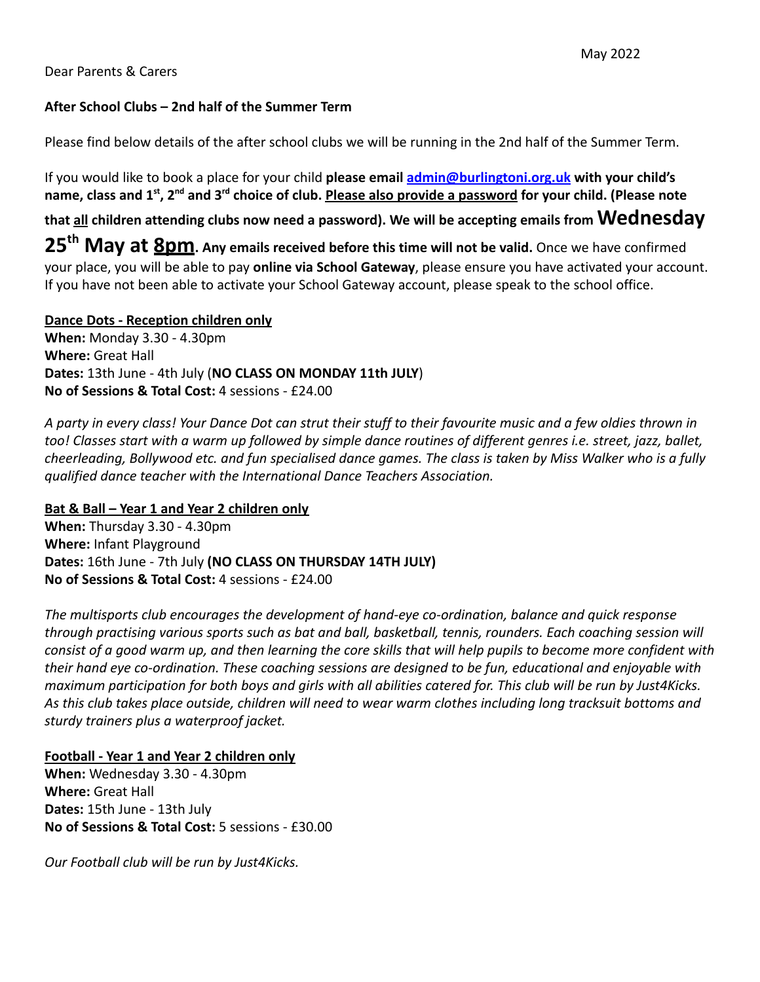### **After School Clubs – 2nd half of the Summer Term**

Please find below details of the after school clubs we will be running in the 2nd half of the Summer Term.

If you would like to book a place for your child **please email [admin@burlingtoni.org.uk](mailto:admin@burlingtoni.org.uk) with your child's name, class and 1st , 2nd and 3rd choice of club. Please also provide a password for your child. (Please note**

**that all children attending clubs now need a password). We will be accepting emails from Wednesday**

**25th May at 8pm. Any emails received before this time will not be valid.** Once we have confirmed your place, you will be able to pay **online via School Gateway**, please ensure you have activated your account. If you have not been able to activate your School Gateway account, please speak to the school office.

#### **Dance Dots - Reception children only**

**When:** Monday 3.30 - 4.30pm **Where:** Great Hall **Dates:** 13th June - 4th July (**NO CLASS ON MONDAY 11th JULY**) **No of Sessions & Total Cost:** 4 sessions - £24.00

*A party in every class! Your Dance Dot can strut their stuff to their favourite music and a few oldies thrown in too! Classes start with a warm up followed by simple dance routines of different genres i.e. street, jazz, ballet, cheerleading, Bollywood etc. and fun specialised dance games. The class is taken by Miss Walker who is a fully qualified dance teacher with the International Dance Teachers Association.*

#### **Bat & Ball – Year 1 and Year 2 children only**

**When:** Thursday 3.30 - 4.30pm **Where:** Infant Playground **Dates:** 16th June - 7th July **(NO CLASS ON THURSDAY 14TH JULY) No of Sessions & Total Cost:** 4 sessions - £24.00

*The multisports club encourages the development of hand-eye co-ordination, balance and quick response through practising various sports such as bat and ball, basketball, tennis, rounders. Each coaching session will consist of a good warm up, and then learning the core skills that will help pupils to become more confident with their hand eye co-ordination. These coaching sessions are designed to be fun, educational and enjoyable with maximum participation for both boys and girls with all abilities catered for. This club will be run by Just4Kicks. As this club takes place outside, children will need to wear warm clothes including long tracksuit bottoms and sturdy trainers plus a waterproof jacket.*

## **Football - Year 1 and Year 2 children only**

**When:** Wednesday 3.30 - 4.30pm **Where:** Great Hall **Dates:** 15th June - 13th July **No of Sessions & Total Cost:** 5 sessions - £30.00

*Our Football club will be run by Just4Kicks.*